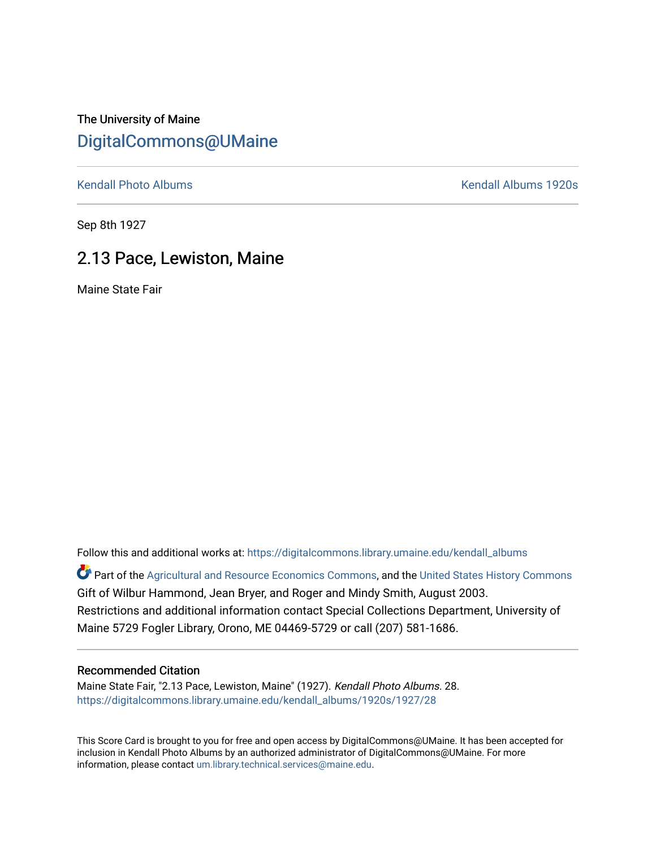The University of Maine [DigitalCommons@UMaine](https://digitalcommons.library.umaine.edu/)

[Kendall Photo Albums](https://digitalcommons.library.umaine.edu/kendall_albums) **Kendall Albums 1920s** 

Sep 8th 1927

## 2.13 Pace, Lewiston, Maine

Maine State Fair

Follow this and additional works at: [https://digitalcommons.library.umaine.edu/kendall\\_albums](https://digitalcommons.library.umaine.edu/kendall_albums?utm_source=digitalcommons.library.umaine.edu%2Fkendall_albums%2F1920s%2F1927%2F28&utm_medium=PDF&utm_campaign=PDFCoverPages)  Part of the [Agricultural and Resource Economics Commons,](http://network.bepress.com/hgg/discipline/317?utm_source=digitalcommons.library.umaine.edu%2Fkendall_albums%2F1920s%2F1927%2F28&utm_medium=PDF&utm_campaign=PDFCoverPages) and the [United States History Commons](http://network.bepress.com/hgg/discipline/495?utm_source=digitalcommons.library.umaine.edu%2Fkendall_albums%2F1920s%2F1927%2F28&utm_medium=PDF&utm_campaign=PDFCoverPages) Gift of Wilbur Hammond, Jean Bryer, and Roger and Mindy Smith, August 2003. Restrictions and additional information contact Special Collections Department, University of

## Recommended Citation

Maine State Fair, "2.13 Pace, Lewiston, Maine" (1927). Kendall Photo Albums. 28. [https://digitalcommons.library.umaine.edu/kendall\\_albums/1920s/1927/28](https://digitalcommons.library.umaine.edu/kendall_albums/1920s/1927/28?utm_source=digitalcommons.library.umaine.edu%2Fkendall_albums%2F1920s%2F1927%2F28&utm_medium=PDF&utm_campaign=PDFCoverPages)

Maine 5729 Fogler Library, Orono, ME 04469-5729 or call (207) 581-1686.

This Score Card is brought to you for free and open access by DigitalCommons@UMaine. It has been accepted for inclusion in Kendall Photo Albums by an authorized administrator of DigitalCommons@UMaine. For more information, please contact [um.library.technical.services@maine.edu](mailto:um.library.technical.services@maine.edu).